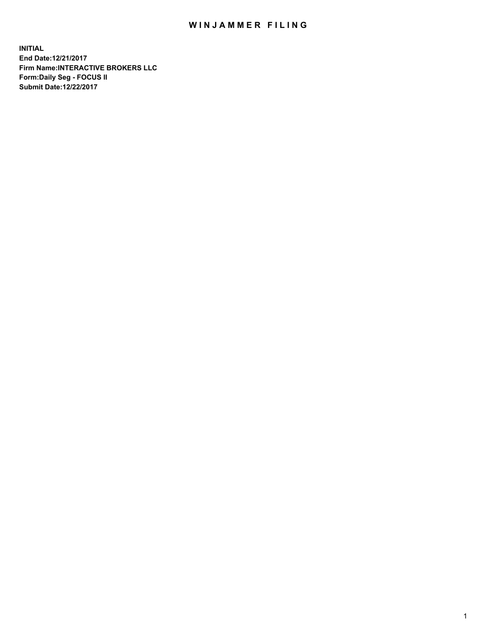## WIN JAMMER FILING

**INITIAL End Date:12/21/2017 Firm Name:INTERACTIVE BROKERS LLC Form:Daily Seg - FOCUS II Submit Date:12/22/2017**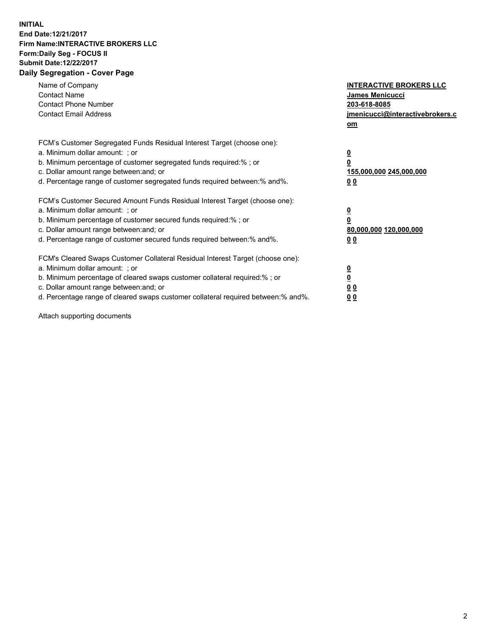## **INITIAL End Date:12/21/2017 Firm Name:INTERACTIVE BROKERS LLC Form:Daily Seg - FOCUS II Submit Date:12/22/2017 Daily Segregation - Cover Page**

| Name of Company<br><b>Contact Name</b><br><b>Contact Phone Number</b><br><b>Contact Email Address</b>                                                                                                                                                                                                                          | <b>INTERACTIVE BROKERS LLC</b><br><b>James Menicucci</b><br>203-618-8085<br>jmenicucci@interactivebrokers.c<br>om |
|--------------------------------------------------------------------------------------------------------------------------------------------------------------------------------------------------------------------------------------------------------------------------------------------------------------------------------|-------------------------------------------------------------------------------------------------------------------|
| FCM's Customer Segregated Funds Residual Interest Target (choose one):<br>a. Minimum dollar amount: ; or<br>b. Minimum percentage of customer segregated funds required:% ; or<br>c. Dollar amount range between: and; or<br>d. Percentage range of customer segregated funds required between:% and%.                         | $\overline{\mathbf{0}}$<br>0<br><u>155,000,000 245,000,000</u><br><u>00</u>                                       |
| FCM's Customer Secured Amount Funds Residual Interest Target (choose one):<br>a. Minimum dollar amount: ; or<br>b. Minimum percentage of customer secured funds required:%; or<br>c. Dollar amount range between: and; or<br>d. Percentage range of customer secured funds required between:% and%.                            | $\overline{\mathbf{0}}$<br>$\overline{\mathbf{0}}$<br>80,000,000 120,000,000<br>00                                |
| FCM's Cleared Swaps Customer Collateral Residual Interest Target (choose one):<br>a. Minimum dollar amount: ; or<br>b. Minimum percentage of cleared swaps customer collateral required:% ; or<br>c. Dollar amount range between: and; or<br>d. Percentage range of cleared swaps customer collateral required between:% and%. | $\underline{\mathbf{0}}$<br>$\underline{\mathbf{0}}$<br>0 <sub>0</sub><br>0 <sub>0</sub>                          |

Attach supporting documents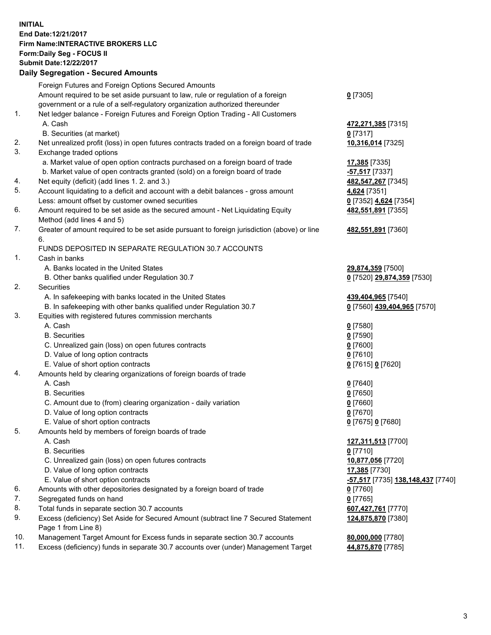## **INITIAL End Date:12/21/2017 Firm Name:INTERACTIVE BROKERS LLC Form:Daily Seg - FOCUS II Submit Date:12/22/2017 Daily Segregation - Secured Amounts**

|     | Daily Jegiegation - Jeculed Aniounts                                                        |                                                       |
|-----|---------------------------------------------------------------------------------------------|-------------------------------------------------------|
|     | Foreign Futures and Foreign Options Secured Amounts                                         |                                                       |
|     | Amount required to be set aside pursuant to law, rule or regulation of a foreign            | $0$ [7305]                                            |
|     | government or a rule of a self-regulatory organization authorized thereunder                |                                                       |
| 1.  | Net ledger balance - Foreign Futures and Foreign Option Trading - All Customers             |                                                       |
|     | A. Cash                                                                                     | 472,271,385 [7315]                                    |
|     | B. Securities (at market)                                                                   | $0$ [7317]                                            |
| 2.  | Net unrealized profit (loss) in open futures contracts traded on a foreign board of trade   | 10,316,014 [7325]                                     |
| 3.  | Exchange traded options                                                                     |                                                       |
|     | a. Market value of open option contracts purchased on a foreign board of trade              | 17,385 [7335]                                         |
|     | b. Market value of open contracts granted (sold) on a foreign board of trade                | -57,517 [7337]                                        |
| 4.  | Net equity (deficit) (add lines 1.2. and 3.)                                                | 482,547,267 [7345]                                    |
| 5.  | Account liquidating to a deficit and account with a debit balances - gross amount           | 4,624 [7351]                                          |
|     | Less: amount offset by customer owned securities                                            | 0 [7352] 4,624 [7354]                                 |
| 6.  | Amount required to be set aside as the secured amount - Net Liquidating Equity              | 482,551,891 [7355]                                    |
|     | Method (add lines 4 and 5)                                                                  |                                                       |
| 7.  | Greater of amount required to be set aside pursuant to foreign jurisdiction (above) or line | 482,551,891 [7360]                                    |
|     | 6.                                                                                          |                                                       |
|     | FUNDS DEPOSITED IN SEPARATE REGULATION 30.7 ACCOUNTS                                        |                                                       |
| 1.  | Cash in banks                                                                               |                                                       |
|     | A. Banks located in the United States                                                       | 29,874,359 [7500]                                     |
|     | B. Other banks qualified under Regulation 30.7                                              | 0 [7520] 29,874,359 [7530]                            |
| 2.  | Securities                                                                                  |                                                       |
|     | A. In safekeeping with banks located in the United States                                   | 439,404,965 [7540]                                    |
|     | B. In safekeeping with other banks qualified under Regulation 30.7                          | 0 [7560] 439,404,965 [7570]                           |
| 3.  | Equities with registered futures commission merchants                                       |                                                       |
|     | A. Cash                                                                                     | $0$ [7580]                                            |
|     | <b>B.</b> Securities                                                                        | $0$ [7590]                                            |
|     | C. Unrealized gain (loss) on open futures contracts                                         | $0$ [7600]                                            |
|     | D. Value of long option contracts                                                           | $0$ [7610]                                            |
|     | E. Value of short option contracts                                                          | 0 [7615] 0 [7620]                                     |
| 4.  | Amounts held by clearing organizations of foreign boards of trade                           |                                                       |
|     | A. Cash                                                                                     | $0$ [7640]                                            |
|     | <b>B.</b> Securities                                                                        | $0$ [7650]                                            |
|     | C. Amount due to (from) clearing organization - daily variation                             | $0$ [7660]                                            |
|     | D. Value of long option contracts                                                           | $0$ [7670]                                            |
|     | E. Value of short option contracts                                                          | 0 [7675] 0 [7680]                                     |
| 5.  | Amounts held by members of foreign boards of trade                                          |                                                       |
|     | A. Cash                                                                                     | 127,311,513 [7700]                                    |
|     | <b>B.</b> Securities                                                                        | $0$ [7710]                                            |
|     | C. Unrealized gain (loss) on open futures contracts                                         | 10,877,056 [7720]                                     |
|     | D. Value of long option contracts                                                           | 17,385 [7730]                                         |
|     | E. Value of short option contracts                                                          | <mark>-57,517</mark> [7735] <b>138,148,437</b> [7740] |
| 6.  | Amounts with other depositories designated by a foreign board of trade                      | 0 [7760]                                              |
| 7.  | Segregated funds on hand                                                                    | $0$ [7765]                                            |
| 8.  | Total funds in separate section 30.7 accounts                                               | 607,427,761 [7770]                                    |
| 9.  | Excess (deficiency) Set Aside for Secured Amount (subtract line 7 Secured Statement         | 124,875,870 [7380]                                    |
|     | Page 1 from Line 8)                                                                         |                                                       |
| 10. | Management Target Amount for Excess funds in separate section 30.7 accounts                 | 80,000,000 [7780]                                     |
| 11. | Excess (deficiency) funds in separate 30.7 accounts over (under) Management Target          | 44,875,870 [7785]                                     |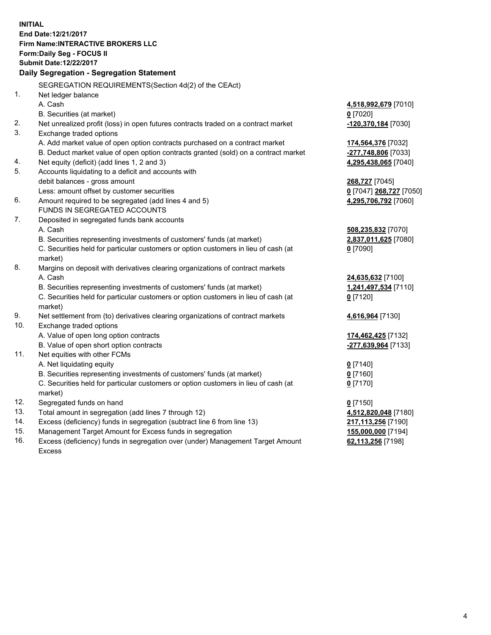**INITIAL End Date:12/21/2017 Firm Name:INTERACTIVE BROKERS LLC Form:Daily Seg - FOCUS II Submit Date:12/22/2017 Daily Segregation - Segregation Statement** SEGREGATION REQUIREMENTS(Section 4d(2) of the CEAct) 1. Net ledger balance A. Cash **4,518,992,679** [7010] B. Securities (at market) **0** [7020] 2. Net unrealized profit (loss) in open futures contracts traded on a contract market **-120,370,184** [7030] 3. Exchange traded options A. Add market value of open option contracts purchased on a contract market **174,564,376** [7032] B. Deduct market value of open option contracts granted (sold) on a contract market **-277,748,806** [7033] 4. Net equity (deficit) (add lines 1, 2 and 3) **4,295,438,065** [7040] 5. Accounts liquidating to a deficit and accounts with debit balances - gross amount **268,727** [7045] Less: amount offset by customer securities **0** [7047] **268,727** [7050] 6. Amount required to be segregated (add lines 4 and 5) **4,295,706,792** [7060] FUNDS IN SEGREGATED ACCOUNTS 7. Deposited in segregated funds bank accounts A. Cash **508,235,832** [7070] B. Securities representing investments of customers' funds (at market) **2,837,011,625** [7080] C. Securities held for particular customers or option customers in lieu of cash (at market) **0** [7090] 8. Margins on deposit with derivatives clearing organizations of contract markets A. Cash **24,635,632** [7100] B. Securities representing investments of customers' funds (at market) **1,241,497,534** [7110] C. Securities held for particular customers or option customers in lieu of cash (at market) **0** [7120] 9. Net settlement from (to) derivatives clearing organizations of contract markets **4,616,964** [7130] 10. Exchange traded options A. Value of open long option contracts **174,462,425** [7132] B. Value of open short option contracts **-277,639,964** [7133] 11. Net equities with other FCMs A. Net liquidating equity **0** [7140] B. Securities representing investments of customers' funds (at market) **0** [7160] C. Securities held for particular customers or option customers in lieu of cash (at market) **0** [7170] 12. Segregated funds on hand **0** [7150] 13. Total amount in segregation (add lines 7 through 12) **4,512,820,048** [7180] 14. Excess (deficiency) funds in segregation (subtract line 6 from line 13) **217,113,256** [7190] 15. Management Target Amount for Excess funds in segregation **155,000,000** [7194] **62,113,256** [7198]

16. Excess (deficiency) funds in segregation over (under) Management Target Amount Excess